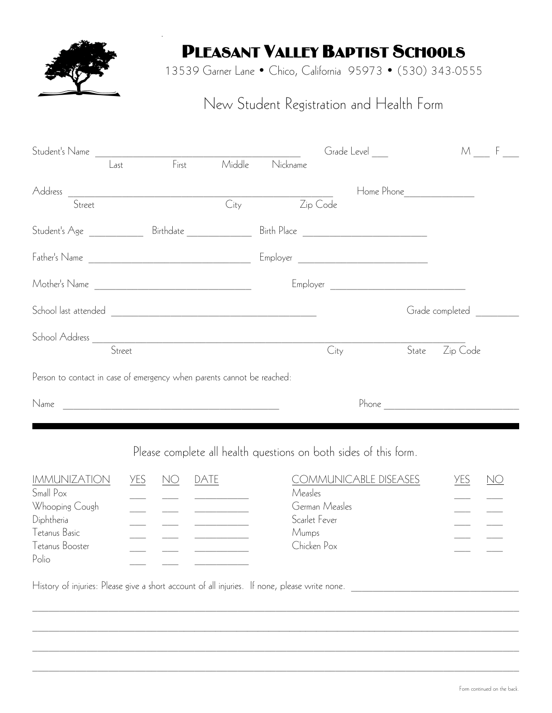

.

## PLEASANT VALLEY BAPTIST SCHOOLS

13539 Garner Lane • Chico, California 95973 • (530) 343-0555

## New Student Registration and Health Form

|                                                                        |     |                                 |                                                                                                                       |          | Grade Level                                                      |                                  | M F             |    |
|------------------------------------------------------------------------|-----|---------------------------------|-----------------------------------------------------------------------------------------------------------------------|----------|------------------------------------------------------------------|----------------------------------|-----------------|----|
| Last                                                                   |     | $F_{\text{irst}}$               | Middle                                                                                                                | Nickname |                                                                  |                                  |                 |    |
|                                                                        |     |                                 |                                                                                                                       |          |                                                                  |                                  |                 |    |
| Address <del>General</del> City City                                   |     |                                 |                                                                                                                       |          | Zip Code                                                         |                                  |                 |    |
|                                                                        |     |                                 |                                                                                                                       |          |                                                                  |                                  |                 |    |
|                                                                        |     |                                 |                                                                                                                       |          |                                                                  |                                  |                 |    |
|                                                                        |     |                                 |                                                                                                                       |          |                                                                  |                                  |                 |    |
|                                                                        |     |                                 |                                                                                                                       |          |                                                                  |                                  | Grade completed |    |
|                                                                        |     |                                 |                                                                                                                       |          |                                                                  |                                  |                 |    |
|                                                                        |     |                                 |                                                                                                                       |          | City                                                             | State                            | Zip Code        |    |
| Person to contact in case of emergency when parents cannot be reached: |     |                                 |                                                                                                                       |          |                                                                  |                                  |                 |    |
| Name                                                                   |     |                                 | <u> 1989 - Johann Barbara, martin amerikan basal dan berasal dan berasal dalam basal dalam basal dalam basal dala</u> |          |                                                                  | Phone <u>___________________</u> |                 |    |
|                                                                        |     |                                 |                                                                                                                       |          |                                                                  |                                  |                 |    |
|                                                                        |     |                                 |                                                                                                                       |          | Please complete all health questions on both sides of this form. |                                  |                 |    |
| <b>IMMUNIZATION</b><br>Small Pox                                       | yes | NO                              | <b>DATE</b>                                                                                                           |          | COMMUNICABLE DISEASES<br>Measles                                 |                                  | <b>YES</b>      | NO |
| Whooping Cough                                                         |     | $\frac{1}{2}$ and $\frac{1}{2}$ | the control of the control of the                                                                                     |          | German Measles                                                   |                                  |                 |    |
| Diphtheria                                                             |     |                                 |                                                                                                                       |          | Scarlet Fever                                                    |                                  |                 |    |
| Tetanus Basic                                                          |     |                                 |                                                                                                                       |          | Mumps                                                            |                                  |                 |    |
| Tetanus Booster                                                        |     |                                 |                                                                                                                       |          | Chicken Pox                                                      |                                  |                 |    |

 $\_$  , and the state of the state of the state of the state of the state of the state of the state of the state of the state of the state of the state of the state of the state of the state of the state of the state of the

 $\_$  , and the state of the state of the state of the state of the state of the state of the state of the state of the state of the state of the state of the state of the state of the state of the state of the state of the

 $\_$  , and the state of the state of the state of the state of the state of the state of the state of the state of the state of the state of the state of the state of the state of the state of the state of the state of the

 $\_$  , and the state of the state of the state of the state of the state of the state of the state of the state of the state of the state of the state of the state of the state of the state of the state of the state of the

History of injuries: Please give a short account of all injuries. If none, please write none.

Polio \_\_\_ \_\_\_ \_\_\_ \_\_\_ \_\_\_ \_\_\_ \_\_\_ \_\_\_